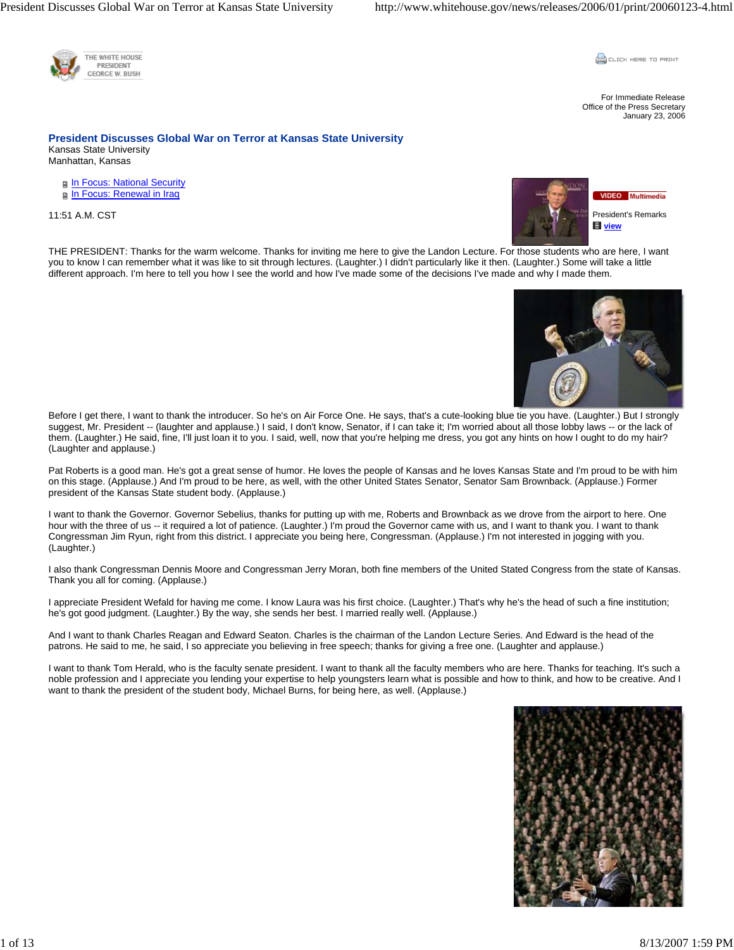

CLICK HERE TO PRINT

For Immediate Release Office of the Press Secretary January 23, 2006

**President Discusses Global War on Terror at Kansas State University**  Kansas State University Manhattan, Kansas

**n** In Focus: National Security **n** In Focus: Renewal in Iraq

11:51 A.M. CST



THE PRESIDENT: Thanks for the warm welcome. Thanks for inviting me here to give the Landon Lecture. For those students who are here, I want you to know I can remember what it was like to sit through lectures. (Laughter.) I didn't particularly like it then. (Laughter.) Some will take a little different approach. I'm here to tell you how I see the world and how I've made some of the decisions I've made and why I made them.



Before I get there, I want to thank the introducer. So he's on Air Force One. He says, that's a cute-looking blue tie you have. (Laughter.) But I strongly suggest, Mr. President -- (laughter and applause.) I said, I don't know, Senator, if I can take it; I'm worried about all those lobby laws -- or the lack of them. (Laughter.) He said, fine, I'll just loan it to you. I said, well, now that you're helping me dress, you got any hints on how I ought to do my hair? (Laughter and applause.)

Pat Roberts is a good man. He's got a great sense of humor. He loves the people of Kansas and he loves Kansas State and I'm proud to be with him on this stage. (Applause.) And I'm proud to be here, as well, with the other United States Senator, Senator Sam Brownback. (Applause.) Former president of the Kansas State student body. (Applause.)

I want to thank the Governor. Governor Sebelius, thanks for putting up with me, Roberts and Brownback as we drove from the airport to here. One hour with the three of us -- it required a lot of patience. (Laughter.) I'm proud the Governor came with us, and I want to thank you. I want to thank Congressman Jim Ryun, right from this district. I appreciate you being here, Congressman. (Applause.) I'm not interested in jogging with you. (Laughter.)

I also thank Congressman Dennis Moore and Congressman Jerry Moran, both fine members of the United Stated Congress from the state of Kansas. Thank you all for coming. (Applause.)

I appreciate President Wefald for having me come. I know Laura was his first choice. (Laughter.) That's why he's the head of such a fine institution; he's got good judgment. (Laughter.) By the way, she sends her best. I married really well. (Applause.)

And I want to thank Charles Reagan and Edward Seaton. Charles is the chairman of the Landon Lecture Series. And Edward is the head of the patrons. He said to me, he said, I so appreciate you believing in free speech; thanks for giving a free one. (Laughter and applause.)

I want to thank Tom Herald, who is the faculty senate president. I want to thank all the faculty members who are here. Thanks for teaching. It's such a noble profession and I appreciate you lending your expertise to help youngsters learn what is possible and how to think, and how to be creative. And I want to thank the president of the student body, Michael Burns, for being here, as well. (Applause.)

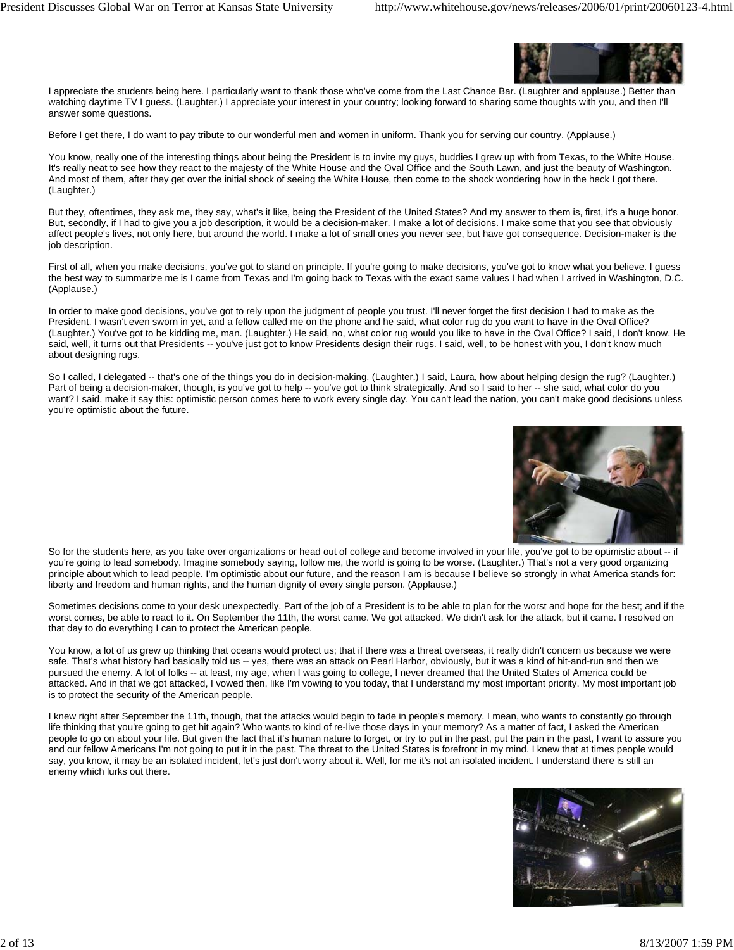

I appreciate the students being here. I particularly want to thank those who've come from the Last Chance Bar. (Laughter and applause.) Better than watching daytime TV I guess. (Laughter.) I appreciate your interest in your country; looking forward to sharing some thoughts with you, and then I'll answer some questions.

Before I get there, I do want to pay tribute to our wonderful men and women in uniform. Thank you for serving our country. (Applause.)

You know, really one of the interesting things about being the President is to invite my guys, buddies I grew up with from Texas, to the White House. It's really neat to see how they react to the majesty of the White House and the Oval Office and the South Lawn, and just the beauty of Washington. And most of them, after they get over the initial shock of seeing the White House, then come to the shock wondering how in the heck I got there. (Laughter.)

But they, oftentimes, they ask me, they say, what's it like, being the President of the United States? And my answer to them is, first, it's a huge honor. But, secondly, if I had to give you a job description, it would be a decision-maker. I make a lot of decisions. I make some that you see that obviously affect people's lives, not only here, but around the world. I make a lot of small ones you never see, but have got consequence. Decision-maker is the job description.

First of all, when you make decisions, you've got to stand on principle. If you're going to make decisions, you've got to know what you believe. I guess the best way to summarize me is I came from Texas and I'm going back to Texas with the exact same values I had when I arrived in Washington, D.C. (Applause.)

In order to make good decisions, you've got to rely upon the judgment of people you trust. I'll never forget the first decision I had to make as the President. I wasn't even sworn in yet, and a fellow called me on the phone and he said, what color rug do you want to have in the Oval Office? (Laughter.) You've got to be kidding me, man. (Laughter.) He said, no, what color rug would you like to have in the Oval Office? I said, I don't know. He said, well, it turns out that Presidents -- you've just got to know Presidents design their rugs. I said, well, to be honest with you, I don't know much about designing rugs.

So I called, I delegated -- that's one of the things you do in decision-making. (Laughter.) I said, Laura, how about helping design the rug? (Laughter.) Part of being a decision-maker, though, is you've got to help -- you've got to think strategically. And so I said to her -- she said, what color do you want? I said, make it say this: optimistic person comes here to work every single day. You can't lead the nation, you can't make good decisions unless you're optimistic about the future.



So for the students here, as you take over organizations or head out of college and become involved in your life, you've got to be optimistic about -- if you're going to lead somebody. Imagine somebody saying, follow me, the world is going to be worse. (Laughter.) That's not a very good organizing principle about which to lead people. I'm optimistic about our future, and the reason I am is because I believe so strongly in what America stands for: liberty and freedom and human rights, and the human dignity of every single person. (Applause.)

Sometimes decisions come to your desk unexpectedly. Part of the job of a President is to be able to plan for the worst and hope for the best; and if the worst comes, be able to react to it. On September the 11th, the worst came. We got attacked. We didn't ask for the attack, but it came. I resolved on that day to do everything I can to protect the American people.

You know, a lot of us grew up thinking that oceans would protect us; that if there was a threat overseas, it really didn't concern us because we were safe. That's what history had basically told us -- yes, there was an attack on Pearl Harbor, obviously, but it was a kind of hit-and-run and then we pursued the enemy. A lot of folks -- at least, my age, when I was going to college, I never dreamed that the United States of America could be attacked. And in that we got attacked, I vowed then, like I'm vowing to you today, that I understand my most important priority. My most important job is to protect the security of the American people.

I knew right after September the 11th, though, that the attacks would begin to fade in people's memory. I mean, who wants to constantly go through life thinking that you're going to get hit again? Who wants to kind of re-live those days in your memory? As a matter of fact, I asked the American people to go on about your life. But given the fact that it's human nature to forget, or try to put in the past, put the pain in the past, I want to assure you and our fellow Americans I'm not going to put it in the past. The threat to the United States is forefront in my mind. I knew that at times people would say, you know, it may be an isolated incident, let's just don't worry about it. Well, for me it's not an isolated incident. I understand there is still an enemy which lurks out there.

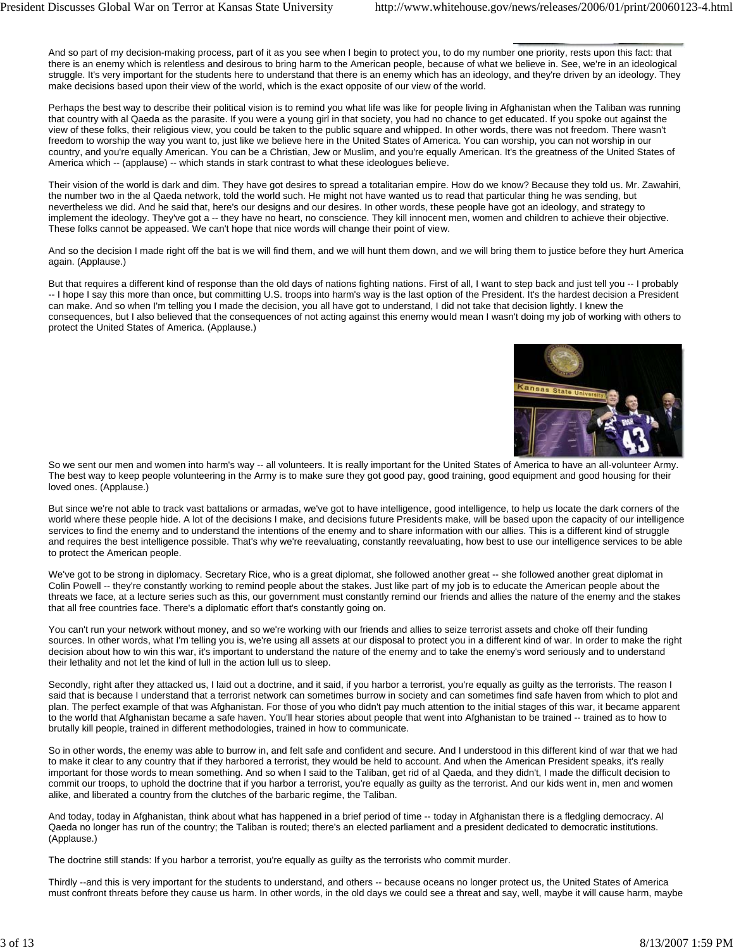And so part of my decision-making process, part of it as you see when I begin to protect you, to do my number one priority, rests upon this fact: that there is an enemy which is relentless and desirous to bring harm to the American people, because of what we believe in. See, we're in an ideological struggle. It's very important for the students here to understand that there is an enemy which has an ideology, and they're driven by an ideology. They make decisions based upon their view of the world, which is the exact opposite of our view of the world.

Perhaps the best way to describe their political vision is to remind you what life was like for people living in Afghanistan when the Taliban was running that country with al Qaeda as the parasite. If you were a young girl in that society, you had no chance to get educated. If you spoke out against the view of these folks, their religious view, you could be taken to the public square and whipped. In other words, there was not freedom. There wasn't freedom to worship the way you want to, just like we believe here in the United States of America. You can worship, you can not worship in our country, and you're equally American. You can be a Christian, Jew or Muslim, and you're equally American. It's the greatness of the United States of America which -- (applause) -- which stands in stark contrast to what these ideologues believe.

Their vision of the world is dark and dim. They have got desires to spread a totalitarian empire. How do we know? Because they told us. Mr. Zawahiri, the number two in the al Qaeda network, told the world such. He might not have wanted us to read that particular thing he was sending, but nevertheless we did. And he said that, here's our designs and our desires. In other words, these people have got an ideology, and strategy to implement the ideology. They've got a -- they have no heart, no conscience. They kill innocent men, women and children to achieve their objective. These folks cannot be appeased. We can't hope that nice words will change their point of view.

And so the decision I made right off the bat is we will find them, and we will hunt them down, and we will bring them to justice before they hurt America again. (Applause.)

But that requires a different kind of response than the old days of nations fighting nations. First of all, I want to step back and just tell you -- I probably -- I hope I say this more than once, but committing U.S. troops into harm's way is the last option of the President. It's the hardest decision a President can make. And so when I'm telling you I made the decision, you all have got to understand, I did not take that decision lightly. I knew the consequences, but I also believed that the consequences of not acting against this enemy would mean I wasn't doing my job of working with others to protect the United States of America. (Applause.)



So we sent our men and women into harm's way -- all volunteers. It is really important for the United States of America to have an all-volunteer Army. The best way to keep people volunteering in the Army is to make sure they got good pay, good training, good equipment and good housing for their loved ones. (Applause.)

But since we're not able to track vast battalions or armadas, we've got to have intelligence, good intelligence, to help us locate the dark corners of the world where these people hide. A lot of the decisions I make, and decisions future Presidents make, will be based upon the capacity of our intelligence services to find the enemy and to understand the intentions of the enemy and to share information with our allies. This is a different kind of struggle and requires the best intelligence possible. That's why we're reevaluating, constantly reevaluating, how best to use our intelligence services to be able to protect the American people.

We've got to be strong in diplomacy. Secretary Rice, who is a great diplomat, she followed another great -- she followed another great diplomat in Colin Powell -- they're constantly working to remind people about the stakes. Just like part of my job is to educate the American people about the threats we face, at a lecture series such as this, our government must constantly remind our friends and allies the nature of the enemy and the stakes that all free countries face. There's a diplomatic effort that's constantly going on.

You can't run your network without money, and so we're working with our friends and allies to seize terrorist assets and choke off their funding sources. In other words, what I'm telling you is, we're using all assets at our disposal to protect you in a different kind of war. In order to make the right decision about how to win this war, it's important to understand the nature of the enemy and to take the enemy's word seriously and to understand their lethality and not let the kind of lull in the action lull us to sleep.

Secondly, right after they attacked us, I laid out a doctrine, and it said, if you harbor a terrorist, you're equally as guilty as the terrorists. The reason I said that is because I understand that a terrorist network can sometimes burrow in society and can sometimes find safe haven from which to plot and plan. The perfect example of that was Afghanistan. For those of you who didn't pay much attention to the initial stages of this war, it became apparent to the world that Afghanistan became a safe haven. You'll hear stories about people that went into Afghanistan to be trained -- trained as to how to brutally kill people, trained in different methodologies, trained in how to communicate.

So in other words, the enemy was able to burrow in, and felt safe and confident and secure. And I understood in this different kind of war that we had to make it clear to any country that if they harbored a terrorist, they would be held to account. And when the American President speaks, it's really important for those words to mean something. And so when I said to the Taliban, get rid of al Qaeda, and they didn't, I made the difficult decision to commit our troops, to uphold the doctrine that if you harbor a terrorist, you're equally as guilty as the terrorist. And our kids went in, men and women alike, and liberated a country from the clutches of the barbaric regime, the Taliban.

And today, today in Afghanistan, think about what has happened in a brief period of time -- today in Afghanistan there is a fledgling democracy. Al Qaeda no longer has run of the country; the Taliban is routed; there's an elected parliament and a president dedicated to democratic institutions. (Applause.)

The doctrine still stands: If you harbor a terrorist, you're equally as guilty as the terrorists who commit murder.

Thirdly --and this is very important for the students to understand, and others -- because oceans no longer protect us, the United States of America must confront threats before they cause us harm. In other words, in the old days we could see a threat and say, well, maybe it will cause harm, maybe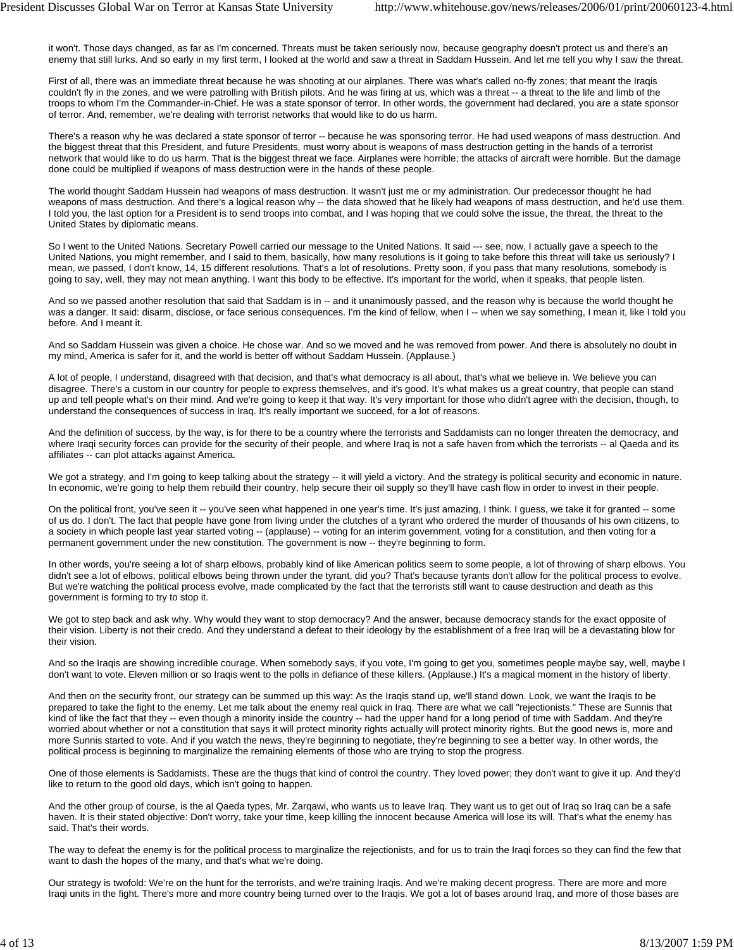it won't. Those days changed, as far as I'm concerned. Threats must be taken seriously now, because geography doesn't protect us and there's an enemy that still lurks. And so early in my first term, I looked at the world and saw a threat in Saddam Hussein. And let me tell you why I saw the threat.

First of all, there was an immediate threat because he was shooting at our airplanes. There was what's called no-fly zones; that meant the Iraqis couldn't fly in the zones, and we were patrolling with British pilots. And he was firing at us, which was a threat -- a threat to the life and limb of the troops to whom I'm the Commander-in-Chief. He was a state sponsor of terror. In other words, the government had declared, you are a state sponsor of terror. And, remember, we're dealing with terrorist networks that would like to do us harm.

There's a reason why he was declared a state sponsor of terror -- because he was sponsoring terror. He had used weapons of mass destruction. And the biggest threat that this President, and future Presidents, must worry about is weapons of mass destruction getting in the hands of a terrorist network that would like to do us harm. That is the biggest threat we face. Airplanes were horrible; the attacks of aircraft were horrible. But the damage done could be multiplied if weapons of mass destruction were in the hands of these people.

The world thought Saddam Hussein had weapons of mass destruction. It wasn't just me or my administration. Our predecessor thought he had weapons of mass destruction. And there's a logical reason why -- the data showed that he likely had weapons of mass destruction, and he'd use them. I told you, the last option for a President is to send troops into combat, and I was hoping that we could solve the issue, the threat, the threat to the United States by diplomatic means.

So I went to the United Nations. Secretary Powell carried our message to the United Nations. It said --- see, now, I actually gave a speech to the United Nations, you might remember, and I said to them, basically, how many resolutions is it going to take before this threat will take us seriously? I mean, we passed, I don't know, 14, 15 different resolutions. That's a lot of resolutions. Pretty soon, if you pass that many resolutions, somebody is going to say, well, they may not mean anything. I want this body to be effective. It's important for the world, when it speaks, that people listen.

And so we passed another resolution that said that Saddam is in -- and it unanimously passed, and the reason why is because the world thought he was a danger. It said: disarm, disclose, or face serious consequences. I'm the kind of fellow, when I -- when we say something, I mean it, like I told you before. And I meant it.

And so Saddam Hussein was given a choice. He chose war. And so we moved and he was removed from power. And there is absolutely no doubt in my mind, America is safer for it, and the world is better off without Saddam Hussein. (Applause.)

A lot of people, I understand, disagreed with that decision, and that's what democracy is all about, that's what we believe in. We believe you can disagree. There's a custom in our country for people to express themselves, and it's good. It's what makes us a great country, that people can stand up and tell people what's on their mind. And we're going to keep it that way. It's very important for those who didn't agree with the decision, though, to understand the consequences of success in Iraq. It's really important we succeed, for a lot of reasons.

And the definition of success, by the way, is for there to be a country where the terrorists and Saddamists can no longer threaten the democracy, and where Iraqi security forces can provide for the security of their people, and where Iraq is not a safe haven from which the terrorists -- al Qaeda and its affiliates -- can plot attacks against America.

We got a strategy, and I'm going to keep talking about the strategy -- it will yield a victory. And the strategy is political security and economic in nature. In economic, we're going to help them rebuild their country, help secure their oil supply so they'll have cash flow in order to invest in their people.

On the political front, you've seen it -- you've seen what happened in one year's time. It's just amazing, I think. I guess, we take it for granted -- some of us do. I don't. The fact that people have gone from living under the clutches of a tyrant who ordered the murder of thousands of his own citizens, to a society in which people last year started voting -- (applause) -- voting for an interim government, voting for a constitution, and then voting for a permanent government under the new constitution. The government is now -- they're beginning to form.

In other words, you're seeing a lot of sharp elbows, probably kind of like American politics seem to some people, a lot of throwing of sharp elbows. You didn't see a lot of elbows, political elbows being thrown under the tyrant, did you? That's because tyrants don't allow for the political process to evolve. But we're watching the political process evolve, made complicated by the fact that the terrorists still want to cause destruction and death as this government is forming to try to stop it.

We got to step back and ask why. Why would they want to stop democracy? And the answer, because democracy stands for the exact opposite of their vision. Liberty is not their credo. And they understand a defeat to their ideology by the establishment of a free Iraq will be a devastating blow for their vision.

And so the Iraqis are showing incredible courage. When somebody says, if you vote, I'm going to get you, sometimes people maybe say, well, maybe I don't want to vote. Eleven million or so Iraqis went to the polls in defiance of these killers. (Applause.) It's a magical moment in the history of liberty.

And then on the security front, our strategy can be summed up this way: As the Iraqis stand up, we'll stand down. Look, we want the Iraqis to be prepared to take the fight to the enemy. Let me talk about the enemy real quick in Iraq. There are what we call "rejectionists." These are Sunnis that kind of like the fact that they -- even though a minority inside the country -- had the upper hand for a long period of time with Saddam. And they're worried about whether or not a constitution that says it will protect minority rights actually will protect minority rights. But the good news is, more and more Sunnis started to vote. And if you watch the news, they're beginning to negotiate, they're beginning to see a better way. In other words, the political process is beginning to marginalize the remaining elements of those who are trying to stop the progress.

One of those elements is Saddamists. These are the thugs that kind of control the country. They loved power; they don't want to give it up. And they'd like to return to the good old days, which isn't going to happen.

And the other group of course, is the al Qaeda types, Mr. Zarqawi, who wants us to leave Iraq. They want us to get out of Iraq so Iraq can be a safe haven. It is their stated objective: Don't worry, take your time, keep killing the innocent because America will lose its will. That's what the enemy has said. That's their words.

The way to defeat the enemy is for the political process to marginalize the rejectionists, and for us to train the Iraqi forces so they can find the few that want to dash the hopes of the many, and that's what we're doing.

Our strategy is twofold: We're on the hunt for the terrorists, and we're training Iraqis. And we're making decent progress. There are more and more Iraqi units in the fight. There's more and more country being turned over to the Iraqis. We got a lot of bases around Iraq, and more of those bases are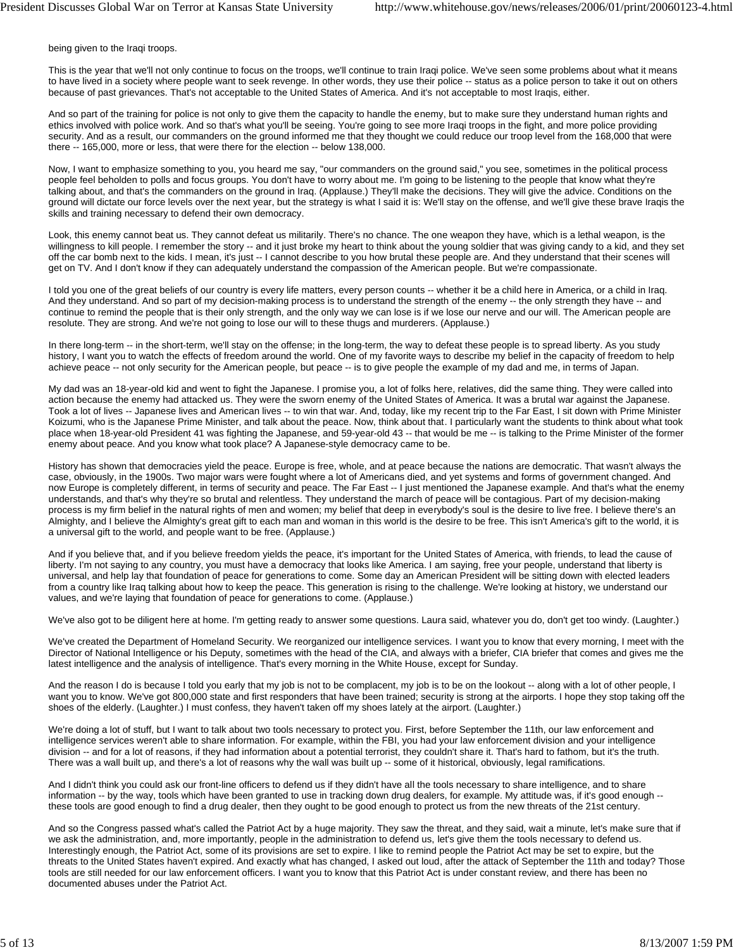being given to the Iraqi troops.

This is the year that we'll not only continue to focus on the troops, we'll continue to train Iraqi police. We've seen some problems about what it means to have lived in a society where people want to seek revenge. In other words, they use their police -- status as a police person to take it out on others because of past grievances. That's not acceptable to the United States of America. And it's not acceptable to most Iraqis, either.

And so part of the training for police is not only to give them the capacity to handle the enemy, but to make sure they understand human rights and ethics involved with police work. And so that's what you'll be seeing. You're going to see more Iraqi troops in the fight, and more police providing security. And as a result, our commanders on the ground informed me that they thought we could reduce our troop level from the 168,000 that were there -- 165,000, more or less, that were there for the election -- below 138,000.

Now, I want to emphasize something to you, you heard me say, "our commanders on the ground said," you see, sometimes in the political process people feel beholden to polls and focus groups. You don't have to worry about me. I'm going to be listening to the people that know what they're talking about, and that's the commanders on the ground in Iraq. (Applause.) They'll make the decisions. They will give the advice. Conditions on the ground will dictate our force levels over the next year, but the strategy is what I said it is: We'll stay on the offense, and we'll give these brave Iraqis the skills and training necessary to defend their own democracy.

Look, this enemy cannot beat us. They cannot defeat us militarily. There's no chance. The one weapon they have, which is a lethal weapon, is the willingness to kill people. I remember the story -- and it just broke my heart to think about the young soldier that was giving candy to a kid, and they set off the car bomb next to the kids. I mean, it's just -- I cannot describe to you how brutal these people are. And they understand that their scenes will get on TV. And I don't know if they can adequately understand the compassion of the American people. But we're compassionate.

I told you one of the great beliefs of our country is every life matters, every person counts -- whether it be a child here in America, or a child in Iraq. And they understand. And so part of my decision-making process is to understand the strength of the enemy -- the only strength they have -- and continue to remind the people that is their only strength, and the only way we can lose is if we lose our nerve and our will. The American people are resolute. They are strong. And we're not going to lose our will to these thugs and murderers. (Applause.)

In there long-term -- in the short-term, we'll stay on the offense; in the long-term, the way to defeat these people is to spread liberty. As you study history, I want you to watch the effects of freedom around the world. One of my favorite ways to describe my belief in the capacity of freedom to help achieve peace -- not only security for the American people, but peace -- is to give people the example of my dad and me, in terms of Japan.

My dad was an 18-year-old kid and went to fight the Japanese. I promise you, a lot of folks here, relatives, did the same thing. They were called into action because the enemy had attacked us. They were the sworn enemy of the United States of America. It was a brutal war against the Japanese. Took a lot of lives -- Japanese lives and American lives -- to win that war. And, today, like my recent trip to the Far East, I sit down with Prime Minister Koizumi, who is the Japanese Prime Minister, and talk about the peace. Now, think about that. I particularly want the students to think about what took place when 18-year-old President 41 was fighting the Japanese, and 59-year-old 43 -- that would be me -- is talking to the Prime Minister of the former enemy about peace. And you know what took place? A Japanese-style democracy came to be.

History has shown that democracies yield the peace. Europe is free, whole, and at peace because the nations are democratic. That wasn't always the case, obviously, in the 1900s. Two major wars were fought where a lot of Americans died, and yet systems and forms of government changed. And now Europe is completely different, in terms of security and peace. The Far East -- I just mentioned the Japanese example. And that's what the enemy understands, and that's why they're so brutal and relentless. They understand the march of peace will be contagious. Part of my decision-making process is my firm belief in the natural rights of men and women; my belief that deep in everybody's soul is the desire to live free. I believe there's an Almighty, and I believe the Almighty's great gift to each man and woman in this world is the desire to be free. This isn't America's gift to the world, it is a universal gift to the world, and people want to be free. (Applause.)

And if you believe that, and if you believe freedom yields the peace, it's important for the United States of America, with friends, to lead the cause of liberty. I'm not saying to any country, you must have a democracy that looks like America. I am saying, free your people, understand that liberty is universal, and help lay that foundation of peace for generations to come. Some day an American President will be sitting down with elected leaders from a country like Iraq talking about how to keep the peace. This generation is rising to the challenge. We're looking at history, we understand our values, and we're laying that foundation of peace for generations to come. (Applause.)

We've also got to be diligent here at home. I'm getting ready to answer some questions. Laura said, whatever you do, don't get too windy. (Laughter.)

We've created the Department of Homeland Security. We reorganized our intelligence services. I want you to know that every morning, I meet with the Director of National Intelligence or his Deputy, sometimes with the head of the CIA, and always with a briefer, CIA briefer that comes and gives me the latest intelligence and the analysis of intelligence. That's every morning in the White House, except for Sunday.

And the reason I do is because I told you early that my job is not to be complacent, my job is to be on the lookout -- along with a lot of other people, I want you to know. We've got 800,000 state and first responders that have been trained; security is strong at the airports. I hope they stop taking off the shoes of the elderly. (Laughter.) I must confess, they haven't taken off my shoes lately at the airport. (Laughter.)

We're doing a lot of stuff, but I want to talk about two tools necessary to protect you. First, before September the 11th, our law enforcement and intelligence services weren't able to share information. For example, within the FBI, you had your law enforcement division and your intelligence division -- and for a lot of reasons, if they had information about a potential terrorist, they couldn't share it. That's hard to fathom, but it's the truth. There was a wall built up, and there's a lot of reasons why the wall was built up -- some of it historical, obviously, legal ramifications.

And I didn't think you could ask our front-line officers to defend us if they didn't have all the tools necessary to share intelligence, and to share information -- by the way, tools which have been granted to use in tracking down drug dealers, for example. My attitude was, if it's good enough - these tools are good enough to find a drug dealer, then they ought to be good enough to protect us from the new threats of the 21st century.

And so the Congress passed what's called the Patriot Act by a huge majority. They saw the threat, and they said, wait a minute, let's make sure that if we ask the administration, and, more importantly, people in the administration to defend us, let's give them the tools necessary to defend us. Interestingly enough, the Patriot Act, some of its provisions are set to expire. I like to remind people the Patriot Act may be set to expire, but the threats to the United States haven't expired. And exactly what has changed, I asked out loud, after the attack of September the 11th and today? Those tools are still needed for our law enforcement officers. I want you to know that this Patriot Act is under constant review, and there has been no documented abuses under the Patriot Act.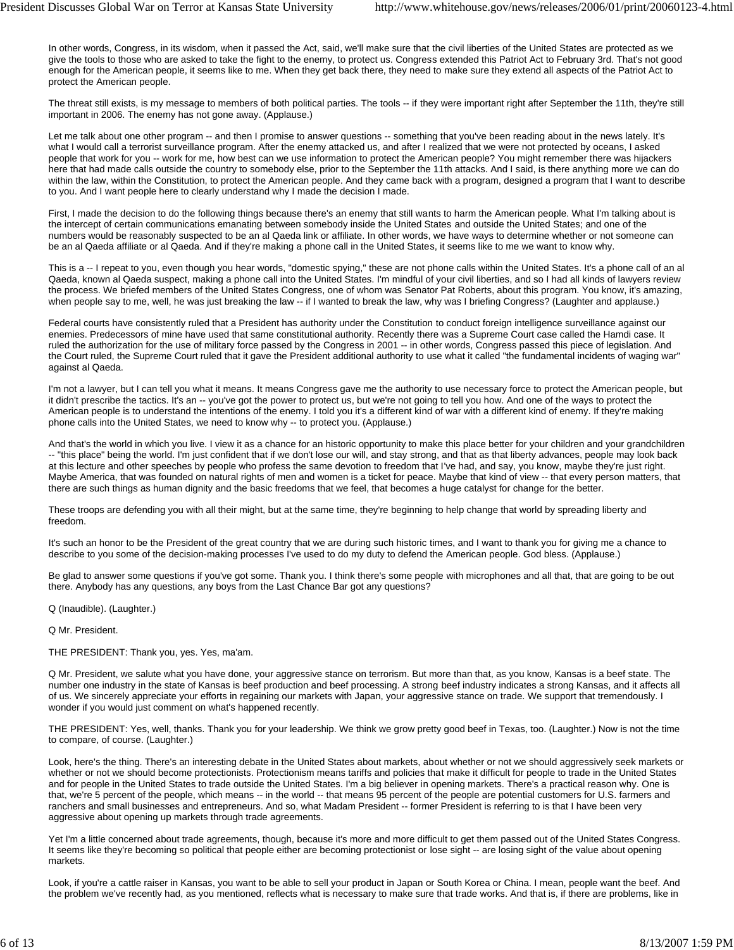In other words, Congress, in its wisdom, when it passed the Act, said, we'll make sure that the civil liberties of the United States are protected as we give the tools to those who are asked to take the fight to the enemy, to protect us. Congress extended this Patriot Act to February 3rd. That's not good enough for the American people, it seems like to me. When they get back there, they need to make sure they extend all aspects of the Patriot Act to protect the American people.

The threat still exists, is my message to members of both political parties. The tools -- if they were important right after September the 11th, they're still important in 2006. The enemy has not gone away. (Applause.)

Let me talk about one other program -- and then I promise to answer questions -- something that you've been reading about in the news lately. It's what I would call a terrorist surveillance program. After the enemy attacked us, and after I realized that we were not protected by oceans, I asked people that work for you -- work for me, how best can we use information to protect the American people? You might remember there was hijackers here that had made calls outside the country to somebody else, prior to the September the 11th attacks. And I said, is there anything more we can do within the law, within the Constitution, to protect the American people. And they came back with a program, designed a program that I want to describe to you. And I want people here to clearly understand why I made the decision I made.

First, I made the decision to do the following things because there's an enemy that still wants to harm the American people. What I'm talking about is the intercept of certain communications emanating between somebody inside the United States and outside the United States; and one of the numbers would be reasonably suspected to be an al Qaeda link or affiliate. In other words, we have ways to determine whether or not someone can be an al Qaeda affiliate or al Qaeda. And if they're making a phone call in the United States, it seems like to me we want to know why.

This is a -- I repeat to you, even though you hear words, "domestic spying," these are not phone calls within the United States. It's a phone call of an al Qaeda, known al Qaeda suspect, making a phone call into the United States. I'm mindful of your civil liberties, and so I had all kinds of lawyers review the process. We briefed members of the United States Congress, one of whom was Senator Pat Roberts, about this program. You know, it's amazing, when people say to me, well, he was just breaking the law -- if I wanted to break the law, why was I briefing Congress? (Laughter and applause.)

Federal courts have consistently ruled that a President has authority under the Constitution to conduct foreign intelligence surveillance against our enemies. Predecessors of mine have used that same constitutional authority. Recently there was a Supreme Court case called the Hamdi case. It ruled the authorization for the use of military force passed by the Congress in 2001 -- in other words, Congress passed this piece of legislation. And the Court ruled, the Supreme Court ruled that it gave the President additional authority to use what it called "the fundamental incidents of waging war" against al Qaeda.

I'm not a lawyer, but I can tell you what it means. It means Congress gave me the authority to use necessary force to protect the American people, but it didn't prescribe the tactics. It's an -- you've got the power to protect us, but we're not going to tell you how. And one of the ways to protect the American people is to understand the intentions of the enemy. I told you it's a different kind of war with a different kind of enemy. If they're making phone calls into the United States, we need to know why -- to protect you. (Applause.)

And that's the world in which you live. I view it as a chance for an historic opportunity to make this place better for your children and your grandchildren -- "this place" being the world. I'm just confident that if we don't lose our will, and stay strong, and that as that liberty advances, people may look back at this lecture and other speeches by people who profess the same devotion to freedom that I've had, and say, you know, maybe they're just right. Maybe America, that was founded on natural rights of men and women is a ticket for peace. Maybe that kind of view -- that every person matters, that there are such things as human dignity and the basic freedoms that we feel, that becomes a huge catalyst for change for the better.

These troops are defending you with all their might, but at the same time, they're beginning to help change that world by spreading liberty and freedom.

It's such an honor to be the President of the great country that we are during such historic times, and I want to thank you for giving me a chance to describe to you some of the decision-making processes I've used to do my duty to defend the American people. God bless. (Applause.)

Be glad to answer some questions if you've got some. Thank you. I think there's some people with microphones and all that, that are going to be out there. Anybody has any questions, any boys from the Last Chance Bar got any questions?

Q (Inaudible). (Laughter.)

Q Mr. President.

THE PRESIDENT: Thank you, yes. Yes, ma'am.

Q Mr. President, we salute what you have done, your aggressive stance on terrorism. But more than that, as you know, Kansas is a beef state. The number one industry in the state of Kansas is beef production and beef processing. A strong beef industry indicates a strong Kansas, and it affects all of us. We sincerely appreciate your efforts in regaining our markets with Japan, your aggressive stance on trade. We support that tremendously. I wonder if you would just comment on what's happened recently.

THE PRESIDENT: Yes, well, thanks. Thank you for your leadership. We think we grow pretty good beef in Texas, too. (Laughter.) Now is not the time to compare, of course. (Laughter.)

Look, here's the thing. There's an interesting debate in the United States about markets, about whether or not we should aggressively seek markets or whether or not we should become protectionists. Protectionism means tariffs and policies that make it difficult for people to trade in the United States and for people in the United States to trade outside the United States. I'm a big believer in opening markets. There's a practical reason why. One is that, we're 5 percent of the people, which means -- in the world -- that means 95 percent of the people are potential customers for U.S. farmers and ranchers and small businesses and entrepreneurs. And so, what Madam President -- former President is referring to is that I have been very aggressive about opening up markets through trade agreements.

Yet I'm a little concerned about trade agreements, though, because it's more and more difficult to get them passed out of the United States Congress. It seems like they're becoming so political that people either are becoming protectionist or lose sight -- are losing sight of the value about opening markets.

Look, if you're a cattle raiser in Kansas, you want to be able to sell your product in Japan or South Korea or China. I mean, people want the beef. And the problem we've recently had, as you mentioned, reflects what is necessary to make sure that trade works. And that is, if there are problems, like in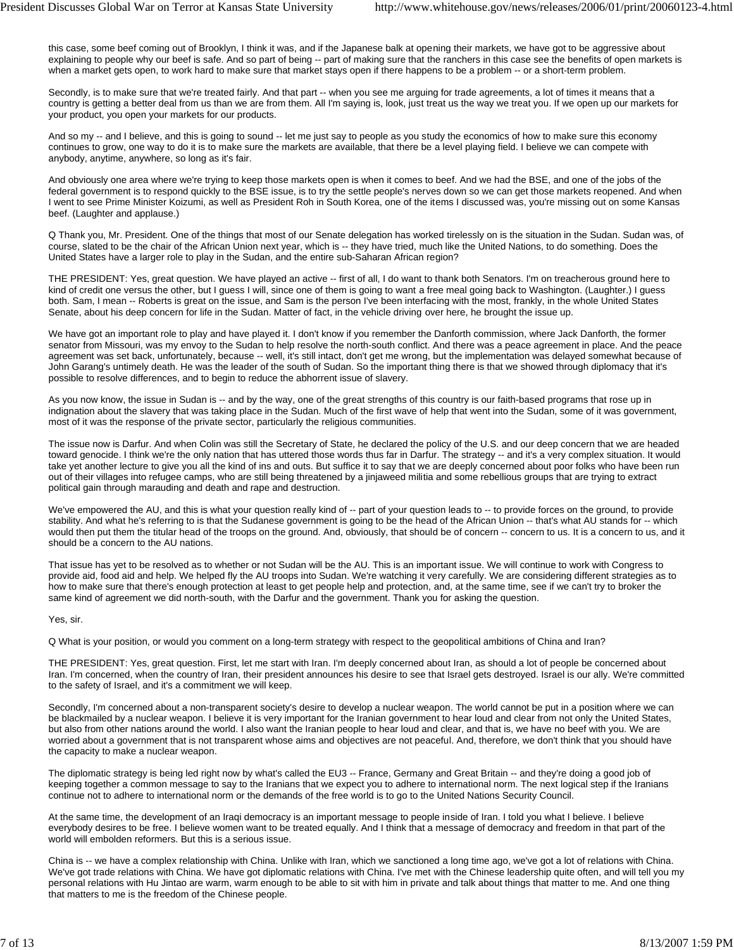this case, some beef coming out of Brooklyn, I think it was, and if the Japanese balk at opening their markets, we have got to be aggressive about explaining to people why our beef is safe. And so part of being -- part of making sure that the ranchers in this case see the benefits of open markets is when a market gets open, to work hard to make sure that market stays open if there happens to be a problem -- or a short-term problem.

Secondly, is to make sure that we're treated fairly. And that part -- when you see me arguing for trade agreements, a lot of times it means that a country is getting a better deal from us than we are from them. All I'm saying is, look, just treat us the way we treat you. If we open up our markets for your product, you open your markets for our products.

And so my -- and I believe, and this is going to sound -- let me just say to people as you study the economics of how to make sure this economy continues to grow, one way to do it is to make sure the markets are available, that there be a level playing field. I believe we can compete with anybody, anytime, anywhere, so long as it's fair.

And obviously one area where we're trying to keep those markets open is when it comes to beef. And we had the BSE, and one of the jobs of the federal government is to respond quickly to the BSE issue, is to try the settle people's nerves down so we can get those markets reopened. And when I went to see Prime Minister Koizumi, as well as President Roh in South Korea, one of the items I discussed was, you're missing out on some Kansas beef. (Laughter and applause.)

Q Thank you, Mr. President. One of the things that most of our Senate delegation has worked tirelessly on is the situation in the Sudan. Sudan was, of course, slated to be the chair of the African Union next year, which is -- they have tried, much like the United Nations, to do something. Does the United States have a larger role to play in the Sudan, and the entire sub-Saharan African region?

THE PRESIDENT: Yes, great question. We have played an active -- first of all, I do want to thank both Senators. I'm on treacherous ground here to kind of credit one versus the other, but I guess I will, since one of them is going to want a free meal going back to Washington. (Laughter.) I guess both. Sam, I mean -- Roberts is great on the issue, and Sam is the person I've been interfacing with the most, frankly, in the whole United States Senate, about his deep concern for life in the Sudan. Matter of fact, in the vehicle driving over here, he brought the issue up.

We have got an important role to play and have played it. I don't know if you remember the Danforth commission, where Jack Danforth, the former senator from Missouri, was my envoy to the Sudan to help resolve the north-south conflict. And there was a peace agreement in place. And the peace agreement was set back, unfortunately, because -- well, it's still intact, don't get me wrong, but the implementation was delayed somewhat because of John Garang's untimely death. He was the leader of the south of Sudan. So the important thing there is that we showed through diplomacy that it's possible to resolve differences, and to begin to reduce the abhorrent issue of slavery.

As you now know, the issue in Sudan is -- and by the way, one of the great strengths of this country is our faith-based programs that rose up in indignation about the slavery that was taking place in the Sudan. Much of the first wave of help that went into the Sudan, some of it was government, most of it was the response of the private sector, particularly the religious communities.

The issue now is Darfur. And when Colin was still the Secretary of State, he declared the policy of the U.S. and our deep concern that we are headed toward genocide. I think we're the only nation that has uttered those words thus far in Darfur. The strategy -- and it's a very complex situation. It would take yet another lecture to give you all the kind of ins and outs. But suffice it to say that we are deeply concerned about poor folks who have been run out of their villages into refugee camps, who are still being threatened by a jinjaweed militia and some rebellious groups that are trying to extract political gain through marauding and death and rape and destruction.

We've empowered the AU, and this is what your question really kind of -- part of your question leads to -- to provide forces on the ground, to provide stability. And what he's referring to is that the Sudanese government is going to be the head of the African Union -- that's what AU stands for -- which would then put them the titular head of the troops on the ground. And, obviously, that should be of concern -- concern to us. It is a concern to us, and it should be a concern to the AU nations.

That issue has yet to be resolved as to whether or not Sudan will be the AU. This is an important issue. We will continue to work with Congress to provide aid, food aid and help. We helped fly the AU troops into Sudan. We're watching it very carefully. We are considering different strategies as to how to make sure that there's enough protection at least to get people help and protection, and, at the same time, see if we can't try to broker the same kind of agreement we did north-south, with the Darfur and the government. Thank you for asking the question.

# Yes, sir.

Q What is your position, or would you comment on a long-term strategy with respect to the geopolitical ambitions of China and Iran?

THE PRESIDENT: Yes, great question. First, let me start with Iran. I'm deeply concerned about Iran, as should a lot of people be concerned about Iran. I'm concerned, when the country of Iran, their president announces his desire to see that Israel gets destroyed. Israel is our ally. We're committed to the safety of Israel, and it's a commitment we will keep.

Secondly, I'm concerned about a non-transparent society's desire to develop a nuclear weapon. The world cannot be put in a position where we can be blackmailed by a nuclear weapon. I believe it is very important for the Iranian government to hear loud and clear from not only the United States, but also from other nations around the world. I also want the Iranian people to hear loud and clear, and that is, we have no beef with you. We are worried about a government that is not transparent whose aims and objectives are not peaceful. And, therefore, we don't think that you should have the capacity to make a nuclear weapon.

The diplomatic strategy is being led right now by what's called the EU3 -- France, Germany and Great Britain -- and they're doing a good job of keeping together a common message to say to the Iranians that we expect you to adhere to international norm. The next logical step if the Iranians continue not to adhere to international norm or the demands of the free world is to go to the United Nations Security Council.

At the same time, the development of an Iraqi democracy is an important message to people inside of Iran. I told you what I believe. I believe everybody desires to be free. I believe women want to be treated equally. And I think that a message of democracy and freedom in that part of the world will embolden reformers. But this is a serious issue.

China is -- we have a complex relationship with China. Unlike with Iran, which we sanctioned a long time ago, we've got a lot of relations with China. We've got trade relations with China. We have got diplomatic relations with China. I've met with the Chinese leadership quite often, and will tell you my personal relations with Hu Jintao are warm, warm enough to be able to sit with him in private and talk about things that matter to me. And one thing that matters to me is the freedom of the Chinese people.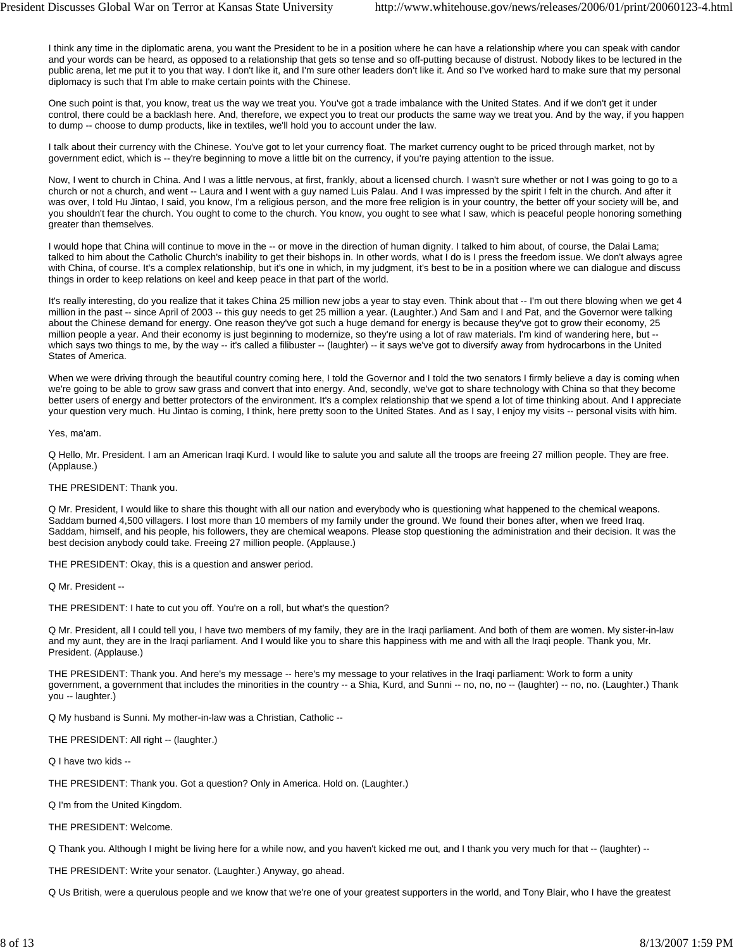I think any time in the diplomatic arena, you want the President to be in a position where he can have a relationship where you can speak with candor and your words can be heard, as opposed to a relationship that gets so tense and so off-putting because of distrust. Nobody likes to be lectured in the public arena, let me put it to you that way. I don't like it, and I'm sure other leaders don't like it. And so I've worked hard to make sure that my personal diplomacy is such that I'm able to make certain points with the Chinese.

One such point is that, you know, treat us the way we treat you. You've got a trade imbalance with the United States. And if we don't get it under control, there could be a backlash here. And, therefore, we expect you to treat our products the same way we treat you. And by the way, if you happen to dump -- choose to dump products, like in textiles, we'll hold you to account under the law.

I talk about their currency with the Chinese. You've got to let your currency float. The market currency ought to be priced through market, not by government edict, which is -- they're beginning to move a little bit on the currency, if you're paying attention to the issue.

Now, I went to church in China. And I was a little nervous, at first, frankly, about a licensed church. I wasn't sure whether or not I was going to go to a church or not a church, and went -- Laura and I went with a guy named Luis Palau. And I was impressed by the spirit I felt in the church. And after it was over, I told Hu Jintao, I said, you know, I'm a religious person, and the more free religion is in your country, the better off your society will be, and you shouldn't fear the church. You ought to come to the church. You know, you ought to see what I saw, which is peaceful people honoring something greater than themselves.

I would hope that China will continue to move in the -- or move in the direction of human dignity. I talked to him about, of course, the Dalai Lama; talked to him about the Catholic Church's inability to get their bishops in. In other words, what I do is I press the freedom issue. We don't always agree with China, of course. It's a complex relationship, but it's one in which, in my judgment, it's best to be in a position where we can dialogue and discuss things in order to keep relations on keel and keep peace in that part of the world.

It's really interesting, do you realize that it takes China 25 million new jobs a year to stay even. Think about that -- I'm out there blowing when we get 4 million in the past -- since April of 2003 -- this guy needs to get 25 million a year. (Laughter.) And Sam and I and Pat, and the Governor were talking about the Chinese demand for energy. One reason they've got such a huge demand for energy is because they've got to grow their economy, 25 million people a year. And their economy is just beginning to modernize, so they're using a lot of raw materials. I'm kind of wandering here, but - which says two things to me, by the way -- it's called a filibuster -- (laughter) -- it says we've got to diversify away from hydrocarbons in the United States of America.

When we were driving through the beautiful country coming here, I told the Governor and I told the two senators I firmly believe a day is coming when we're going to be able to grow saw grass and convert that into energy. And, secondly, we've got to share technology with China so that they become better users of energy and better protectors of the environment. It's a complex relationship that we spend a lot of time thinking about. And I appreciate your question very much. Hu Jintao is coming, I think, here pretty soon to the United States. And as I say, I enjoy my visits -- personal visits with him.

### Yes, ma'am.

Q Hello, Mr. President. I am an American Iraqi Kurd. I would like to salute you and salute all the troops are freeing 27 million people. They are free. (Applause.)

# THE PRESIDENT: Thank you.

Q Mr. President, I would like to share this thought with all our nation and everybody who is questioning what happened to the chemical weapons. Saddam burned 4,500 villagers. I lost more than 10 members of my family under the ground. We found their bones after, when we freed Iraq. Saddam, himself, and his people, his followers, they are chemical weapons. Please stop questioning the administration and their decision. It was the best decision anybody could take. Freeing 27 million people. (Applause.)

THE PRESIDENT: Okay, this is a question and answer period.

Q Mr. President --

THE PRESIDENT: I hate to cut you off. You're on a roll, but what's the question?

Q Mr. President, all I could tell you, I have two members of my family, they are in the Iraqi parliament. And both of them are women. My sister-in-law and my aunt, they are in the Iraqi parliament. And I would like you to share this happiness with me and with all the Iraqi people. Thank you, Mr. President. (Applause.)

THE PRESIDENT: Thank you. And here's my message -- here's my message to your relatives in the Iraqi parliament: Work to form a unity government, a government that includes the minorities in the country -- a Shia, Kurd, and Sunni -- no, no, no -- (laughter) -- no, no. (Laughter.) Thank you -- laughter.)

Q My husband is Sunni. My mother-in-law was a Christian, Catholic --

THE PRESIDENT: All right -- (laughter.)

Q I have two kids --

THE PRESIDENT: Thank you. Got a question? Only in America. Hold on. (Laughter.)

Q I'm from the United Kingdom.

THE PRESIDENT: Welcome.

Q Thank you. Although I might be living here for a while now, and you haven't kicked me out, and I thank you very much for that -- (laughter) --

THE PRESIDENT: Write your senator. (Laughter.) Anyway, go ahead.

Q Us British, were a querulous people and we know that we're one of your greatest supporters in the world, and Tony Blair, who I have the greatest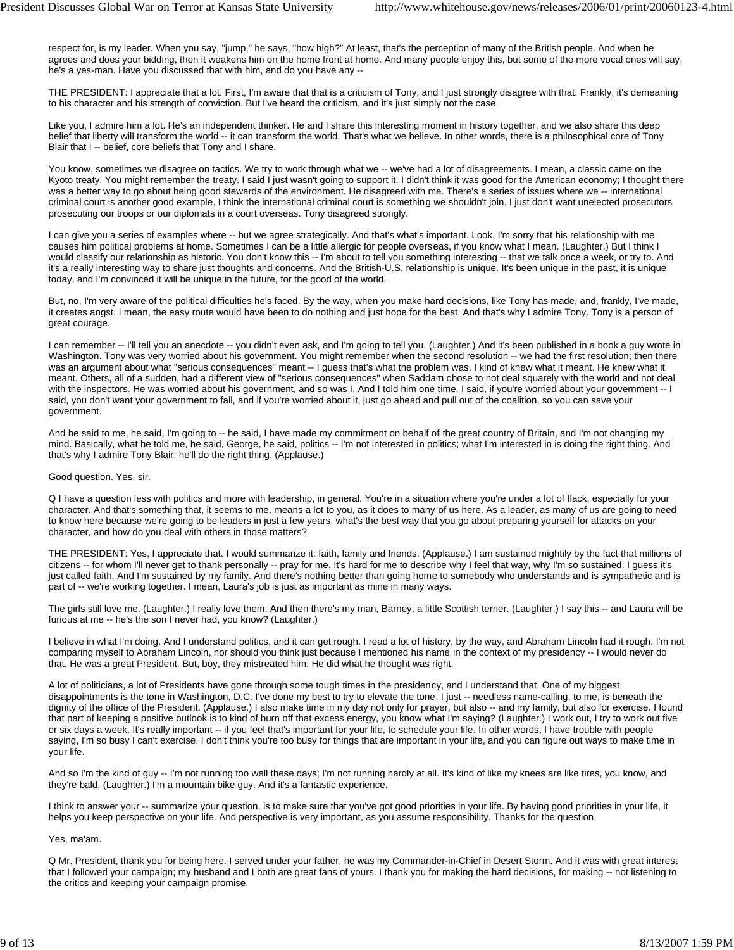respect for, is my leader. When you say, "jump," he says, "how high?" At least, that's the perception of many of the British people. And when he agrees and does your bidding, then it weakens him on the home front at home. And many people enjoy this, but some of the more vocal ones will say, he's a yes-man. Have you discussed that with him, and do you have any --

THE PRESIDENT: I appreciate that a lot. First, I'm aware that that is a criticism of Tony, and I just strongly disagree with that. Frankly, it's demeaning to his character and his strength of conviction. But I've heard the criticism, and it's just simply not the case.

Like you, I admire him a lot. He's an independent thinker. He and I share this interesting moment in history together, and we also share this deep belief that liberty will transform the world -- it can transform the world. That's what we believe. In other words, there is a philosophical core of Tony Blair that I -- belief, core beliefs that Tony and I share.

You know, sometimes we disagree on tactics. We try to work through what we -- we've had a lot of disagreements. I mean, a classic came on the Kyoto treaty. You might remember the treaty. I said I just wasn't going to support it. I didn't think it was good for the American economy; I thought there was a better way to go about being good stewards of the environment. He disagreed with me. There's a series of issues where we -- international criminal court is another good example. I think the international criminal court is something we shouldn't join. I just don't want unelected prosecutors prosecuting our troops or our diplomats in a court overseas. Tony disagreed strongly.

I can give you a series of examples where -- but we agree strategically. And that's what's important. Look, I'm sorry that his relationship with me causes him political problems at home. Sometimes I can be a little allergic for people overseas, if you know what I mean. (Laughter.) But I think I would classify our relationship as historic. You don't know this -- I'm about to tell you something interesting -- that we talk once a week, or try to. And it's a really interesting way to share just thoughts and concerns. And the British-U.S. relationship is unique. It's been unique in the past, it is unique today, and I'm convinced it will be unique in the future, for the good of the world.

But, no, I'm very aware of the political difficulties he's faced. By the way, when you make hard decisions, like Tony has made, and, frankly, I've made, it creates angst. I mean, the easy route would have been to do nothing and just hope for the best. And that's why I admire Tony. Tony is a person of great courage.

I can remember -- I'll tell you an anecdote -- you didn't even ask, and I'm going to tell you. (Laughter.) And it's been published in a book a guy wrote in Washington. Tony was very worried about his government. You might remember when the second resolution -- we had the first resolution; then there was an argument about what "serious consequences" meant -- I guess that's what the problem was. I kind of knew what it meant. He knew what it meant. Others, all of a sudden, had a different view of "serious consequences" when Saddam chose to not deal squarely with the world and not deal with the inspectors. He was worried about his government, and so was I. And I told him one time, I said, if you're worried about your government -- I said, you don't want your government to fall, and if you're worried about it, just go ahead and pull out of the coalition, so you can save your government.

And he said to me, he said, I'm going to -- he said, I have made my commitment on behalf of the great country of Britain, and I'm not changing my mind. Basically, what he told me, he said, George, he said, politics -- I'm not interested in politics; what I'm interested in is doing the right thing. And that's why I admire Tony Blair; he'll do the right thing. (Applause.)

## Good question. Yes, sir.

Q I have a question less with politics and more with leadership, in general. You're in a situation where you're under a lot of flack, especially for your character. And that's something that, it seems to me, means a lot to you, as it does to many of us here. As a leader, as many of us are going to need to know here because we're going to be leaders in just a few years, what's the best way that you go about preparing yourself for attacks on your character, and how do you deal with others in those matters?

THE PRESIDENT: Yes, I appreciate that. I would summarize it: faith, family and friends. (Applause.) I am sustained mightily by the fact that millions of citizens -- for whom I'll never get to thank personally -- pray for me. It's hard for me to describe why I feel that way, why I'm so sustained. I guess it's just called faith. And I'm sustained by my family. And there's nothing better than going home to somebody who understands and is sympathetic and is part of -- we're working together. I mean, Laura's job is just as important as mine in many ways.

The girls still love me. (Laughter.) I really love them. And then there's my man, Barney, a little Scottish terrier. (Laughter.) I say this -- and Laura will be furious at me -- he's the son I never had, you know? (Laughter.)

I believe in what I'm doing. And I understand politics, and it can get rough. I read a lot of history, by the way, and Abraham Lincoln had it rough. I'm not comparing myself to Abraham Lincoln, nor should you think just because I mentioned his name in the context of my presidency -- I would never do that. He was a great President. But, boy, they mistreated him. He did what he thought was right.

A lot of politicians, a lot of Presidents have gone through some tough times in the presidency, and I understand that. One of my biggest disappointments is the tone in Washington, D.C. I've done my best to try to elevate the tone. I just -- needless name-calling, to me, is beneath the dignity of the office of the President. (Applause.) I also make time in my day not only for prayer, but also -- and my family, but also for exercise. I found that part of keeping a positive outlook is to kind of burn off that excess energy, you know what I'm saying? (Laughter.) I work out, I try to work out five or six days a week. It's really important -- if you feel that's important for your life, to schedule your life. In other words, I have trouble with people saying, I'm so busy I can't exercise. I don't think you're too busy for things that are important in your life, and you can figure out ways to make time in your life.

And so I'm the kind of guy -- I'm not running too well these days; I'm not running hardly at all. It's kind of like my knees are like tires, you know, and they're bald. (Laughter.) I'm a mountain bike guy. And it's a fantastic experience.

I think to answer your -- summarize your question, is to make sure that you've got good priorities in your life. By having good priorities in your life, it helps you keep perspective on your life. And perspective is very important, as you assume responsibility. Thanks for the question.

### Yes, ma'am.

Q Mr. President, thank you for being here. I served under your father, he was my Commander-in-Chief in Desert Storm. And it was with great interest that I followed your campaign; my husband and I both are great fans of yours. I thank you for making the hard decisions, for making -- not listening to the critics and keeping your campaign promise.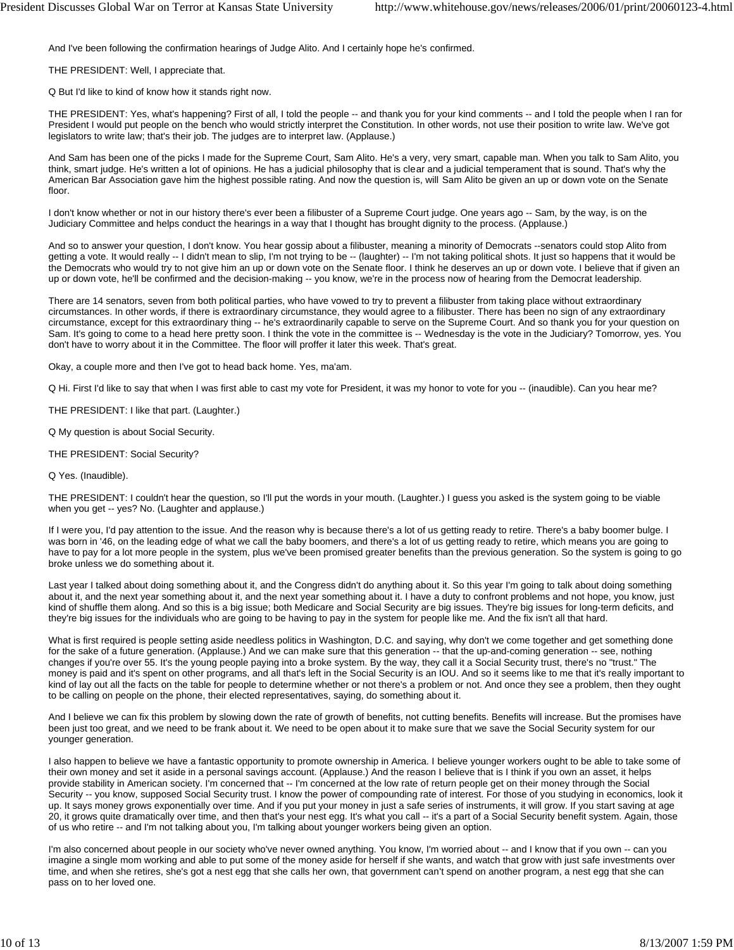And I've been following the confirmation hearings of Judge Alito. And I certainly hope he's confirmed.

THE PRESIDENT: Well, I appreciate that.

Q But I'd like to kind of know how it stands right now.

THE PRESIDENT: Yes, what's happening? First of all, I told the people -- and thank you for your kind comments -- and I told the people when I ran for President I would put people on the bench who would strictly interpret the Constitution. In other words, not use their position to write law. We've got legislators to write law; that's their job. The judges are to interpret law. (Applause.)

And Sam has been one of the picks I made for the Supreme Court, Sam Alito. He's a very, very smart, capable man. When you talk to Sam Alito, you think, smart judge. He's written a lot of opinions. He has a judicial philosophy that is clear and a judicial temperament that is sound. That's why the American Bar Association gave him the highest possible rating. And now the question is, will Sam Alito be given an up or down vote on the Senate floor.

I don't know whether or not in our history there's ever been a filibuster of a Supreme Court judge. One years ago -- Sam, by the way, is on the Judiciary Committee and helps conduct the hearings in a way that I thought has brought dignity to the process. (Applause.)

And so to answer your question, I don't know. You hear gossip about a filibuster, meaning a minority of Democrats --senators could stop Alito from getting a vote. It would really -- I didn't mean to slip, I'm not trying to be -- (laughter) -- I'm not taking political shots. It just so happens that it would be the Democrats who would try to not give him an up or down vote on the Senate floor. I think he deserves an up or down vote. I believe that if given an up or down vote, he'll be confirmed and the decision-making -- you know, we're in the process now of hearing from the Democrat leadership.

There are 14 senators, seven from both political parties, who have vowed to try to prevent a filibuster from taking place without extraordinary circumstances. In other words, if there is extraordinary circumstance, they would agree to a filibuster. There has been no sign of any extraordinary circumstance, except for this extraordinary thing -- he's extraordinarily capable to serve on the Supreme Court. And so thank you for your question on Sam. It's going to come to a head here pretty soon. I think the vote in the committee is -- Wednesday is the vote in the Judiciary? Tomorrow, yes. You don't have to worry about it in the Committee. The floor will proffer it later this week. That's great.

Okay, a couple more and then I've got to head back home. Yes, ma'am.

Q Hi. First I'd like to say that when I was first able to cast my vote for President, it was my honor to vote for you -- (inaudible). Can you hear me?

THE PRESIDENT: I like that part. (Laughter.)

Q My question is about Social Security.

THE PRESIDENT: Social Security?

Q Yes. (Inaudible).

THE PRESIDENT: I couldn't hear the question, so I'll put the words in your mouth. (Laughter.) I guess you asked is the system going to be viable when you get -- yes? No. (Laughter and applause.)

If I were you, I'd pay attention to the issue. And the reason why is because there's a lot of us getting ready to retire. There's a baby boomer bulge. I was born in '46, on the leading edge of what we call the baby boomers, and there's a lot of us getting ready to retire, which means you are going to have to pay for a lot more people in the system, plus we've been promised greater benefits than the previous generation. So the system is going to go broke unless we do something about it.

Last year I talked about doing something about it, and the Congress didn't do anything about it. So this year I'm going to talk about doing something about it, and the next year something about it, and the next year something about it. I have a duty to confront problems and not hope, you know, just kind of shuffle them along. And so this is a big issue; both Medicare and Social Security are big issues. They're big issues for long-term deficits, and they're big issues for the individuals who are going to be having to pay in the system for people like me. And the fix isn't all that hard.

What is first required is people setting aside needless politics in Washington, D.C. and saying, why don't we come together and get something done for the sake of a future generation. (Applause.) And we can make sure that this generation -- that the up-and-coming generation -- see, nothing changes if you're over 55. It's the young people paying into a broke system. By the way, they call it a Social Security trust, there's no "trust." The money is paid and it's spent on other programs, and all that's left in the Social Security is an IOU. And so it seems like to me that it's really important to kind of lay out all the facts on the table for people to determine whether or not there's a problem or not. And once they see a problem, then they ought to be calling on people on the phone, their elected representatives, saying, do something about it.

And I believe we can fix this problem by slowing down the rate of growth of benefits, not cutting benefits. Benefits will increase. But the promises have been just too great, and we need to be frank about it. We need to be open about it to make sure that we save the Social Security system for our younger generation.

I also happen to believe we have a fantastic opportunity to promote ownership in America. I believe younger workers ought to be able to take some of their own money and set it aside in a personal savings account. (Applause.) And the reason I believe that is I think if you own an asset, it helps provide stability in American society. I'm concerned that -- I'm concerned at the low rate of return people get on their money through the Social Security -- you know, supposed Social Security trust. I know the power of compounding rate of interest. For those of you studying in economics, look it up. It says money grows exponentially over time. And if you put your money in just a safe series of instruments, it will grow. If you start saving at age 20, it grows quite dramatically over time, and then that's your nest egg. It's what you call -- it's a part of a Social Security benefit system. Again, those of us who retire -- and I'm not talking about you, I'm talking about younger workers being given an option.

I'm also concerned about people in our society who've never owned anything. You know, I'm worried about -- and I know that if you own -- can you imagine a single mom working and able to put some of the money aside for herself if she wants, and watch that grow with just safe investments over time, and when she retires, she's got a nest egg that she calls her own, that government can't spend on another program, a nest egg that she can pass on to her loved one.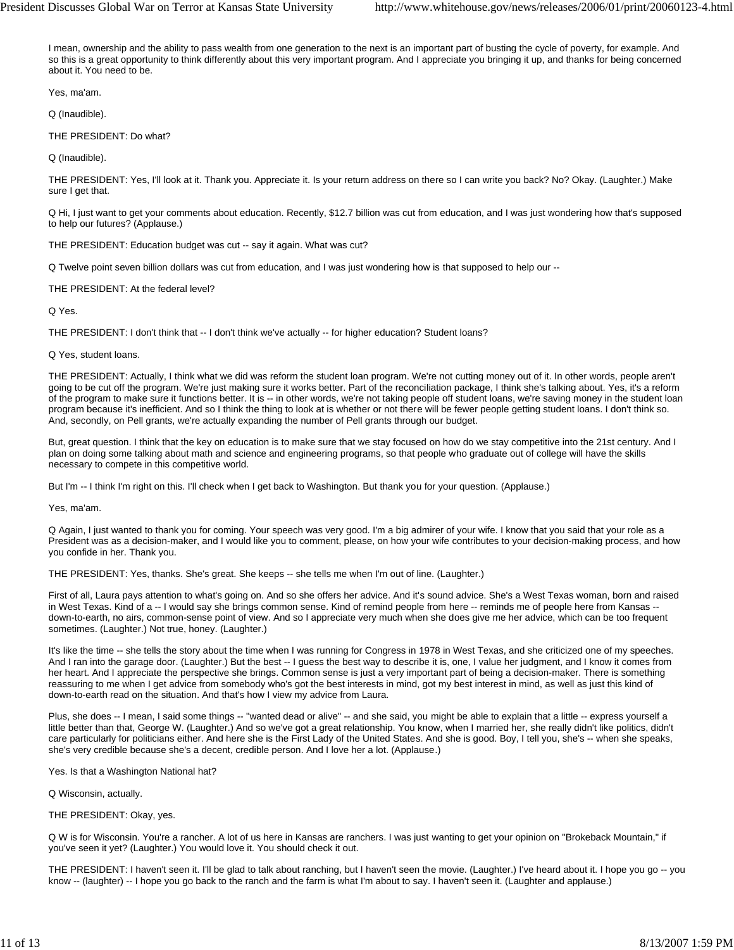I mean, ownership and the ability to pass wealth from one generation to the next is an important part of busting the cycle of poverty, for example. And so this is a great opportunity to think differently about this very important program. And I appreciate you bringing it up, and thanks for being concerned about it. You need to be.

Yes, ma'am.

Q (Inaudible).

THE PRESIDENT: Do what?

Q (Inaudible).

THE PRESIDENT: Yes, I'll look at it. Thank you. Appreciate it. Is your return address on there so I can write you back? No? Okay. (Laughter.) Make sure I get that.

Q Hi, I just want to get your comments about education. Recently, \$12.7 billion was cut from education, and I was just wondering how that's supposed to help our futures? (Applause.)

THE PRESIDENT: Education budget was cut -- say it again. What was cut?

Q Twelve point seven billion dollars was cut from education, and I was just wondering how is that supposed to help our --

THE PRESIDENT: At the federal level?

Q Yes.

THE PRESIDENT: I don't think that -- I don't think we've actually -- for higher education? Student loans?

Q Yes, student loans.

THE PRESIDENT: Actually, I think what we did was reform the student loan program. We're not cutting money out of it. In other words, people aren't going to be cut off the program. We're just making sure it works better. Part of the reconciliation package, I think she's talking about. Yes, it's a reform of the program to make sure it functions better. It is -- in other words, we're not taking people off student loans, we're saving money in the student loan program because it's inefficient. And so I think the thing to look at is whether or not there will be fewer people getting student loans. I don't think so. And, secondly, on Pell grants, we're actually expanding the number of Pell grants through our budget.

But, great question. I think that the key on education is to make sure that we stay focused on how do we stay competitive into the 21st century. And I plan on doing some talking about math and science and engineering programs, so that people who graduate out of college will have the skills necessary to compete in this competitive world.

But I'm -- I think I'm right on this. I'll check when I get back to Washington. But thank you for your question. (Applause.)

Yes, ma'am.

Q Again, I just wanted to thank you for coming. Your speech was very good. I'm a big admirer of your wife. I know that you said that your role as a President was as a decision-maker, and I would like you to comment, please, on how your wife contributes to your decision-making process, and how you confide in her. Thank you.

THE PRESIDENT: Yes, thanks. She's great. She keeps -- she tells me when I'm out of line. (Laughter.)

First of all, Laura pays attention to what's going on. And so she offers her advice. And it's sound advice. She's a West Texas woman, born and raised in West Texas. Kind of a -- I would say she brings common sense. Kind of remind people from here -- reminds me of people here from Kansas -down-to-earth, no airs, common-sense point of view. And so I appreciate very much when she does give me her advice, which can be too frequent sometimes. (Laughter.) Not true, honey. (Laughter.)

It's like the time -- she tells the story about the time when I was running for Congress in 1978 in West Texas, and she criticized one of my speeches. And I ran into the garage door. (Laughter.) But the best -- I guess the best way to describe it is, one, I value her judgment, and I know it comes from her heart. And I appreciate the perspective she brings. Common sense is just a very important part of being a decision-maker. There is something reassuring to me when I get advice from somebody who's got the best interests in mind, got my best interest in mind, as well as just this kind of down-to-earth read on the situation. And that's how I view my advice from Laura.

Plus, she does -- I mean, I said some things -- "wanted dead or alive" -- and she said, you might be able to explain that a little -- express yourself a little better than that, George W. (Laughter.) And so we've got a great relationship. You know, when I married her, she really didn't like politics, didn't care particularly for politicians either. And here she is the First Lady of the United States. And she is good. Boy, I tell you, she's -- when she speaks, she's very credible because she's a decent, credible person. And I love her a lot. (Applause.)

Yes. Is that a Washington National hat?

Q Wisconsin, actually.

THE PRESIDENT: Okay, yes.

Q W is for Wisconsin. You're a rancher. A lot of us here in Kansas are ranchers. I was just wanting to get your opinion on "Brokeback Mountain," if you've seen it yet? (Laughter.) You would love it. You should check it out.

THE PRESIDENT: I haven't seen it. I'll be glad to talk about ranching, but I haven't seen the movie. (Laughter.) I've heard about it. I hope you go -- you know -- (laughter) -- I hope you go back to the ranch and the farm is what I'm about to say. I haven't seen it. (Laughter and applause.)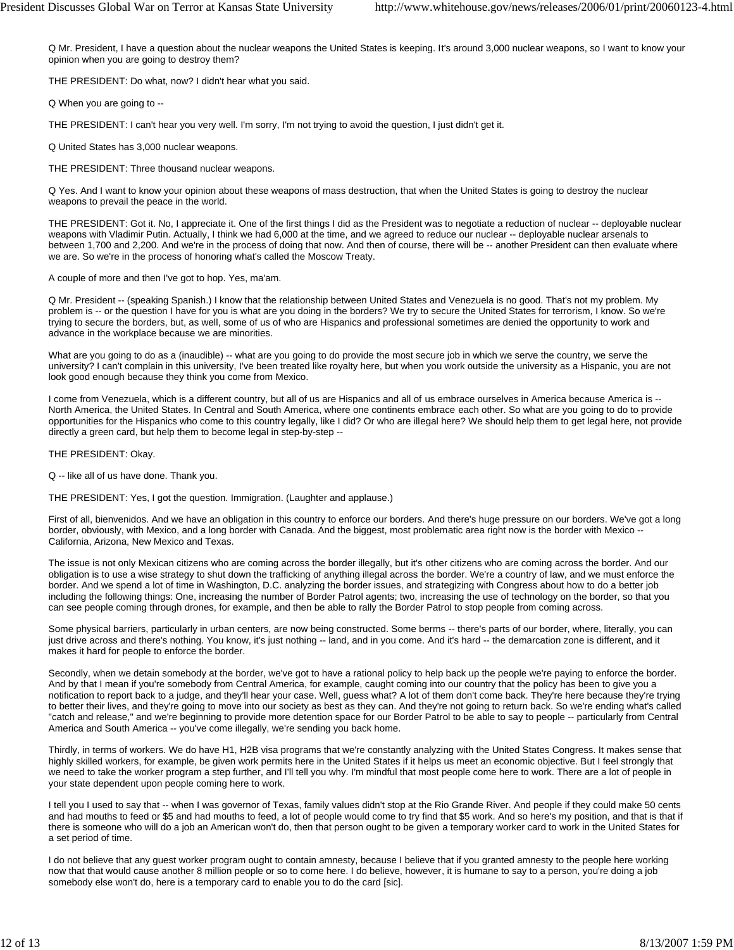Q Mr. President, I have a question about the nuclear weapons the United States is keeping. It's around 3,000 nuclear weapons, so I want to know your opinion when you are going to destroy them?

THE PRESIDENT: Do what, now? I didn't hear what you said.

Q When you are going to --

THE PRESIDENT: I can't hear you very well. I'm sorry, I'm not trying to avoid the question, I just didn't get it.

Q United States has 3,000 nuclear weapons.

THE PRESIDENT: Three thousand nuclear weapons.

Q Yes. And I want to know your opinion about these weapons of mass destruction, that when the United States is going to destroy the nuclear weapons to prevail the peace in the world.

THE PRESIDENT: Got it. No, I appreciate it. One of the first things I did as the President was to negotiate a reduction of nuclear -- deployable nuclear weapons with Vladimir Putin. Actually, I think we had 6,000 at the time, and we agreed to reduce our nuclear -- deployable nuclear arsenals to between 1,700 and 2,200. And we're in the process of doing that now. And then of course, there will be -- another President can then evaluate where we are. So we're in the process of honoring what's called the Moscow Treaty.

A couple of more and then I've got to hop. Yes, ma'am.

Q Mr. President -- (speaking Spanish.) I know that the relationship between United States and Venezuela is no good. That's not my problem. My problem is -- or the question I have for you is what are you doing in the borders? We try to secure the United States for terrorism, I know. So we're trying to secure the borders, but, as well, some of us of who are Hispanics and professional sometimes are denied the opportunity to work and advance in the workplace because we are minorities.

What are you going to do as a (inaudible) -- what are you going to do provide the most secure job in which we serve the country, we serve the university? I can't complain in this university, I've been treated like royalty here, but when you work outside the university as a Hispanic, you are not look good enough because they think you come from Mexico.

I come from Venezuela, which is a different country, but all of us are Hispanics and all of us embrace ourselves in America because America is -- North America, the United States. In Central and South America, where one continents embrace each other. So what are you going to do to provide opportunities for the Hispanics who come to this country legally, like I did? Or who are illegal here? We should help them to get legal here, not provide directly a green card, but help them to become legal in step-by-step --

THE PRESIDENT: Okay.

Q -- like all of us have done. Thank you.

THE PRESIDENT: Yes, I got the question. Immigration. (Laughter and applause.)

First of all, bienvenidos. And we have an obligation in this country to enforce our borders. And there's huge pressure on our borders. We've got a long border, obviously, with Mexico, and a long border with Canada. And the biggest, most problematic area right now is the border with Mexico -- California, Arizona, New Mexico and Texas.

The issue is not only Mexican citizens who are coming across the border illegally, but it's other citizens who are coming across the border. And our obligation is to use a wise strategy to shut down the trafficking of anything illegal across the border. We're a country of law, and we must enforce the border. And we spend a lot of time in Washington, D.C. analyzing the border issues, and strategizing with Congress about how to do a better job including the following things: One, increasing the number of Border Patrol agents; two, increasing the use of technology on the border, so that you can see people coming through drones, for example, and then be able to rally the Border Patrol to stop people from coming across.

Some physical barriers, particularly in urban centers, are now being constructed. Some berms -- there's parts of our border, where, literally, you can just drive across and there's nothing. You know, it's just nothing -- land, and in you come. And it's hard -- the demarcation zone is different, and it makes it hard for people to enforce the border.

Secondly, when we detain somebody at the border, we've got to have a rational policy to help back up the people we're paying to enforce the border. And by that I mean if you're somebody from Central America, for example, caught coming into our country that the policy has been to give you a notification to report back to a judge, and they'll hear your case. Well, guess what? A lot of them don't come back. They're here because they're trying to better their lives, and they're going to move into our society as best as they can. And they're not going to return back. So we're ending what's called "catch and release," and we're beginning to provide more detention space for our Border Patrol to be able to say to people -- particularly from Central America and South America -- you've come illegally, we're sending you back home.

Thirdly, in terms of workers. We do have H1, H2B visa programs that we're constantly analyzing with the United States Congress. It makes sense that highly skilled workers, for example, be given work permits here in the United States if it helps us meet an economic objective. But I feel strongly that we need to take the worker program a step further, and I'll tell you why. I'm mindful that most people come here to work. There are a lot of people in your state dependent upon people coming here to work.

I tell you I used to say that -- when I was governor of Texas, family values didn't stop at the Rio Grande River. And people if they could make 50 cents and had mouths to feed or \$5 and had mouths to feed, a lot of people would come to try find that \$5 work. And so here's my position, and that is that if there is someone who will do a job an American won't do, then that person ought to be given a temporary worker card to work in the United States for a set period of time.

I do not believe that any guest worker program ought to contain amnesty, because I believe that if you granted amnesty to the people here working now that that would cause another 8 million people or so to come here. I do believe, however, it is humane to say to a person, you're doing a job somebody else won't do, here is a temporary card to enable you to do the card [sic].